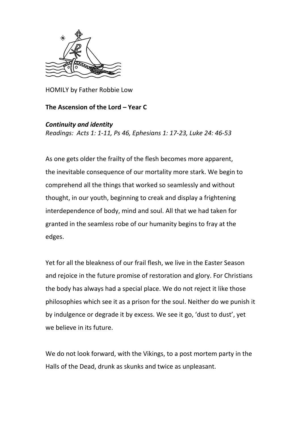

HOMILY by Father Robbie Low

## **The Ascension of the Lord – Year C**

## *Continuity and identity*

*Readings: Acts 1: 1-11, Ps 46, Ephesians 1: 17-23, Luke 24: 46-53*

As one gets older the frailty of the flesh becomes more apparent, the inevitable consequence of our mortality more stark. We begin to comprehend all the things that worked so seamlessly and without thought, in our youth, beginning to creak and display a frightening interdependence of body, mind and soul. All that we had taken for granted in the seamless robe of our humanity begins to fray at the edges.

Yet for all the bleakness of our frail flesh, we live in the Easter Season and rejoice in the future promise of restoration and glory. For Christians the body has always had a special place. We do not reject it like those philosophies which see it as a prison for the soul. Neither do we punish it by indulgence or degrade it by excess. We see it go, 'dust to dust', yet we believe in its future.

We do not look forward, with the Vikings, to a post mortem party in the Halls of the Dead, drunk as skunks and twice as unpleasant.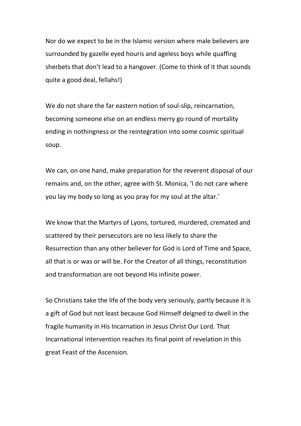Nor do we expect to be in the Islamic version where male believers are surrounded by gazelle eyed houris and ageless boys while quaffing sherbets that don't lead to a hangover. (Come to think of it that sounds quite a good deal, fellahs!)

We do not share the far eastern notion of soul-slip, reincarnation, becoming someone else on an endless merry go round of mortality ending in nothingness or the reintegration into some cosmic spiritual soup.

We can, on one hand, make preparation for the reverent disposal of our remains and, on the other, agree with St. Monica, 'I do not care where you lay my body so long as you pray for my soul at the altar.'

We know that the Martyrs of Lyons, tortured, murdered, cremated and scattered by their persecutors are no less likely to share the Resurrection than any other believer for God is Lord of Time and Space, all that is or was or will be. For the Creator of all things, reconstitution and transformation are not beyond His infinite power.

So Christians take the life of the body very seriously, partly because it is a gift of God but not least because God Himself deigned to dwell in the fragile humanity in His Incarnation in Jesus Christ Our Lord. That Incarnational intervention reaches its final point of revelation in this great Feast of the Ascension.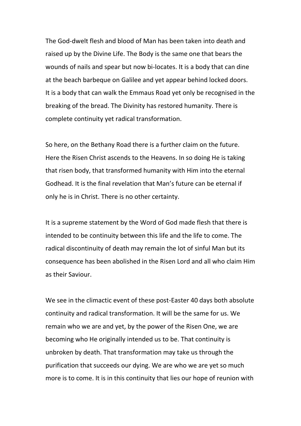The God-dwelt flesh and blood of Man has been taken into death and raised up by the Divine Life. The Body is the same one that bears the wounds of nails and spear but now bi-locates. It is a body that can dine at the beach barbeque on Galilee and yet appear behind locked doors. It is a body that can walk the Emmaus Road yet only be recognised in the breaking of the bread. The Divinity has restored humanity. There is complete continuity yet radical transformation.

So here, on the Bethany Road there is a further claim on the future. Here the Risen Christ ascends to the Heavens. In so doing He is taking that risen body, that transformed humanity with Him into the eternal Godhead. It is the final revelation that Man's future can be eternal if only he is in Christ. There is no other certainty.

It is a supreme statement by the Word of God made flesh that there is intended to be continuity between this life and the life to come. The radical discontinuity of death may remain the lot of sinful Man but its consequence has been abolished in the Risen Lord and all who claim Him as their Saviour.

We see in the climactic event of these post-Easter 40 days both absolute continuity and radical transformation. It will be the same for us. We remain who we are and yet, by the power of the Risen One, we are becoming who He originally intended us to be. That continuity is unbroken by death. That transformation may take us through the purification that succeeds our dying. We are who we are yet so much more is to come. It is in this continuity that lies our hope of reunion with